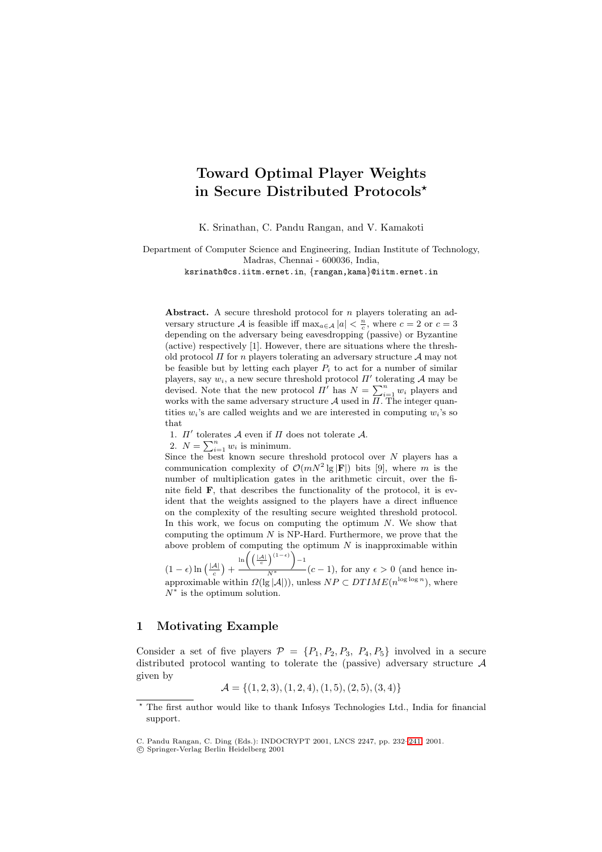# **Toward Optimal Player Weights in Secure Distributed Protocols**

K. Srinathan, C. Pandu Rangan, and V. Kamakoti

Department of Computer Science and Engineering, Indian Institute of Technology, Madras, Chennai - 600036, India,

ksrinath@cs.iitm.ernet.in, {rangan,kama}@iitm.ernet.in

**Abstract.** A secure threshold protocol for n players tolerating an adversary structure A is feasible iff  $\max_{a \in A} |a| < \frac{n}{c}$ , where  $c = 2$  or  $c = 3$ depending on the adversary being eavesdropping (passive) or Byzantine (active) respectively [1]. However, there are situations where the threshold protocol  $\Pi$  for n players tolerating an adversary structure  $A$  may not be feasible but by letting each player  $P_i$  to act for a number of similar players, say  $w_i$ , a new secure threshold protocol  $\Pi'$  tolerating A may be devised. Note that the new protocol  $\Pi'$  has  $N = \sum_{i=1}^{n} w_i$  players and works with the same adversary structure  $A$  used in  $\Pi$ . The integer quantities  $w_i$ 's are called weights and we are interested in computing  $w_i$ 's so that

- 1.  $\Pi'$  tolerates  $\mathcal A$  even if  $\Pi$  does not tolerate  $\mathcal A$ .
- 2.  $N = \sum_{i=1}^{n} w_i$  is minimum.

Since the best known secure threshold protocol over  $N$  players has a communication complexity of  $\mathcal{O}(mN^2 \lg|\mathbf{F}|)$  bits [9], where m is the number of multiplication gates in the arithmetic circuit, over the finite field **F**, that describes the functionality of the protocol, it is evident that the weights assigned to the players have a direct influence on the complexity of the resulting secure weighted threshold protocol. In this work, we focus on computing the optimum  $N$ . We show that computing the optimum  $N$  is NP-Hard. Furthermore, we prove that the above problem of computing the optimum  $N$  is inapproximable within

 $(1-\epsilon)\ln\left(\frac{|\mathcal{A}|}{c}\right)+$  $\ln\left(\left(\frac{\|\mathcal{A}\|}{c}\right)^{(1-\epsilon)}\right)-1$  $\frac{1}{N^*}$  (*c* - 1), for any  $\epsilon > 0$  (and hence inapproximable within  $\Omega(|g|\mathcal{A}|)$ , unless  $NP \subset DTIME(n^{\log \log n})$ , where  $N^*$  is the optimum solution.

## **1 Motivating Example**

Consider a set of five players  $\mathcal{P} = \{P_1, P_2, P_3, P_4, P_5\}$  involved in a secure distributed protocol wanting to tolerate the (passive) adversary structure  $A$ given by

 $\mathcal{A} = \{(1, 2, 3), (1, 2, 4), (1, 5), (2, 5), (3, 4)\}\$ 

The first author would like to thank Infosys Technologies Ltd., India for financial support.

C. Pandu Rangan, C. Ding (Eds.): INDOCRYPT 2001, LNCS 2247, pp. 232[–241,](#page-9-0) 2001.

c Springer-Verlag Berlin Heidelberg 2001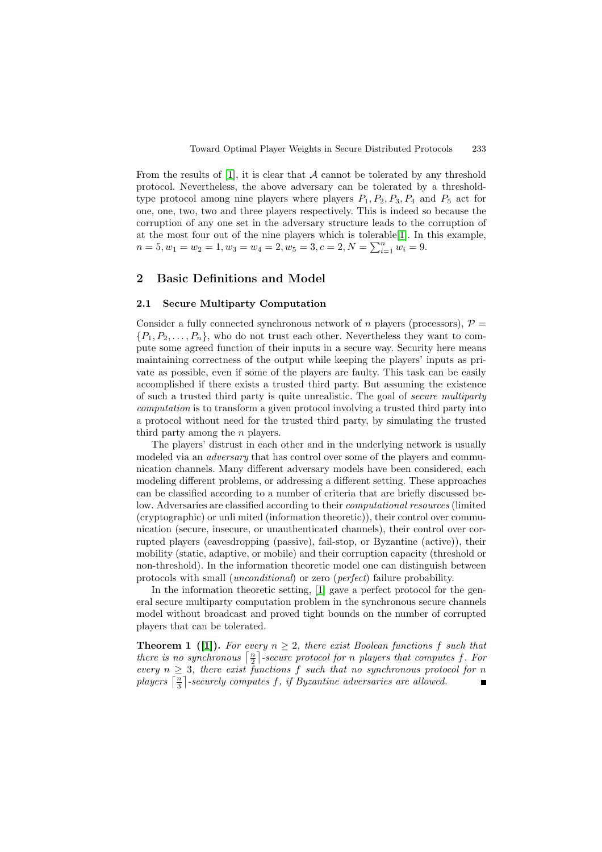From the results of  $[1]$ , it is clear that A cannot be tolerated by any threshold protocol. Nevertheless, the above adversary can be tolerated by a thresholdtype protocol among nine players where players  $P_1$ ,  $P_2$ ,  $P_3$ ,  $P_4$  and  $P_5$  act for one, one, two, two and three players respectively. This is indeed so because the corruption of any one set in the adversary structure leads to the corruption of at the most four out of the nine players which is tolerable[\[1\]](#page-9-0). In this example,  $n = 5, w_1 = w_2 = 1, w_3 = w_4 = 2, w_5 = 3, c = 2, N = \sum_{i=1}^{n} w_i = 9.$ 

## **2 Basic Definitions and Model**

#### **2.1 Secure Multiparty Computation**

Consider a fully connected synchronous network of n players (processors),  $\mathcal{P} =$  $\{P_1, P_2, \ldots, P_n\}$ , who do not trust each other. Nevertheless they want to compute some agreed function of their inputs in a secure way. Security here means maintaining correctness of the output while keeping the players' inputs as private as possible, even if some of the players are faulty. This task can be easily accomplished if there exists a trusted third party. But assuming the existence of such a trusted third party is quite unrealistic. The goal of secure multiparty computation is to transform a given protocol involving a trusted third party into a protocol without need for the trusted third party, by simulating the trusted third party among the *n* players.

The players' distrust in each other and in the underlying network is usually modeled via an *adversary* that has control over some of the players and communication channels. Many different adversary models have been considered, each modeling different problems, or addressing a different setting. These approaches can be classified according to a number of criteria that are briefly discussed below. Adversaries are classified according to their computational resources (limited (cryptographic) or unli mited (information theoretic)), their control over communication (secure, insecure, or unauthenticated channels), their control over corrupted players (eavesdropping (passive), fail-stop, or Byzantine (active)), their mobility (static, adaptive, or mobile) and their corruption capacity (threshold or non-threshold). In the information theoretic model one can distinguish between protocols with small (unconditional) or zero (perfect) failure probability.

In the information theoretic setting, [\[1\]](#page-9-0) gave a perfect protocol for the general secure multiparty computation problem in the synchronous secure channels model without broadcast and proved tight bounds on the number of corrupted players that can be tolerated.

**Theorem 1** ([\[1\]](#page-9-0)). For every  $n \geq 2$ , there exist Boolean functions f such that there is no synchronous  $\lceil \frac{n}{2} \rceil$ -secure protocol for n players that computes f. For every  $n \geq 3$ , there exist functions f such that no synchronous protocol for n players  $\lceil \frac{n}{3} \rceil$ -securely computes f, if Byzantine adversaries are allowed.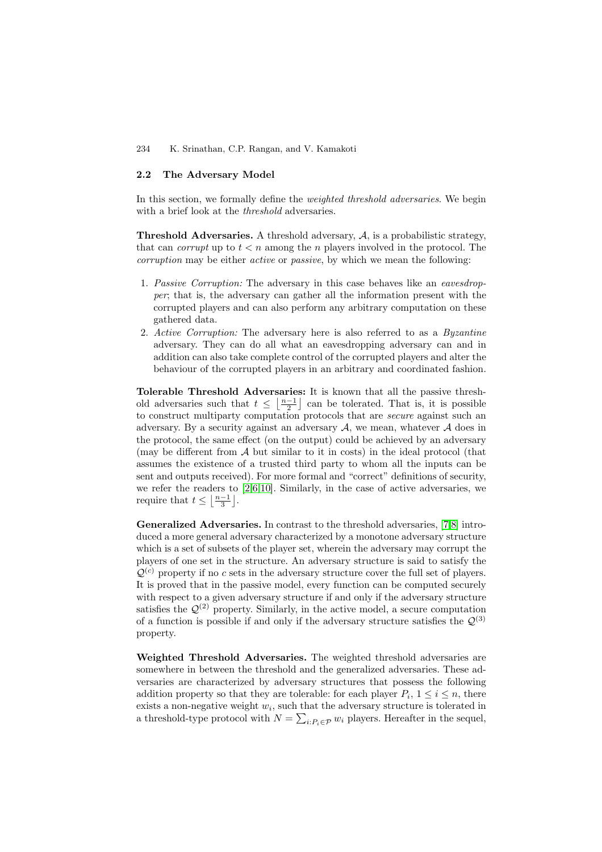#### **2.2 The Adversary Model**

In this section, we formally define the weighted threshold adversaries. We begin with a brief look at the *threshold* adversaries.

**Threshold Adversaries.** A threshold adversary, A, is a probabilistic strategy, that can *corrupt* up to  $t < n$  among the *n* players involved in the protocol. The corruption may be either active or passive, by which we mean the following:

- 1. Passive Corruption: The adversary in this case behaves like an eavesdropper; that is, the adversary can gather all the information present with the corrupted players and can also perform any arbitrary computation on these gathered data.
- 2. Active Corruption: The adversary here is also referred to as a Byzantine adversary. They can do all what an eavesdropping adversary can and in addition can also take complete control of the corrupted players and alter the behaviour of the corrupted players in an arbitrary and coordinated fashion.

**Tolerable Threshold Adversaries:** It is known that all the passive threshold adversaries such that  $t \leq \lfloor \frac{n-1}{2} \rfloor$  can be tolerated. That is, it is possible to construct multiparty computation protocols that are *secure* against such an adversary. By a security against an adversary  $A$ , we mean, whatever  $A$  does in the protocol, the same effect (on the output) could be achieved by an adversary (may be different from  $\mathcal A$  but similar to it in costs) in the ideal protocol (that assumes the existence of a trusted third party to whom all the inputs can be sent and outputs received). For more formal and "correct" definitions of security, we refer the readers to [\[2,6,10\]](#page-9-0). Similarly, in the case of active adversaries, we require that  $t \leq \lfloor \frac{n-1}{3} \rfloor$ .

**Generalized Adversaries.** In contrast to the threshold adversaries, [\[7,8\]](#page-9-0) introduced a more general adversary characterized by a monotone adversary structure which is a set of subsets of the player set, wherein the adversary may corrupt the players of one set in the structure. An adversary structure is said to satisfy the  $\mathcal{Q}^{(c)}$  property if no c sets in the adversary structure cover the full set of players. It is proved that in the passive model, every function can be computed securely with respect to a given adversary structure if and only if the adversary structure satisfies the  $\mathcal{Q}^{(2)}$  property. Similarly, in the active model, a secure computation of a function is possible if and only if the adversary structure satisfies the  $\mathcal{Q}^{(3)}$ property.

**Weighted Threshold Adversaries.** The weighted threshold adversaries are somewhere in between the threshold and the generalized adversaries. These adversaries are characterized by adversary structures that possess the following addition property so that they are tolerable: for each player  $P_i$ ,  $1 \leq i \leq n$ , there exists a non-negative weight  $w_i$ , such that the adversary structure is tolerated in a threshold-type protocol with  $N = \sum_{i:P_i \in \mathcal{P}} w_i$  players. Hereafter in the sequel,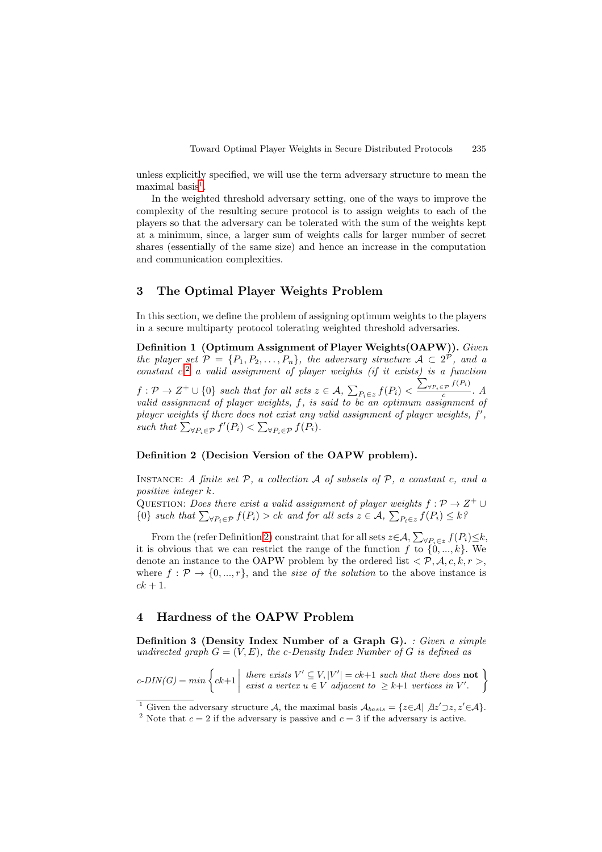<span id="page-3-0"></span>unless explicitly specified, we will use the term adversary structure to mean the  $maximal basis<sup>1</sup>$ .

In the weighted threshold adversary setting, one of the ways to improve the complexity of the resulting secure protocol is to assign weights to each of the players so that the adversary can be tolerated with the sum of the weights kept at a minimum, since, a larger sum of weights calls for larger number of secret shares (essentially of the same size) and hence an increase in the computation and communication complexities.

## **3 The Optimal Player Weights Problem**

In this section, we define the problem of assigning optimum weights to the players in a secure multiparty protocol tolerating weighted threshold adversaries.

**Definition 1 (Optimum Assignment of Player Weights(OAPW)).** Given the player set  $\mathcal{P} = \{P_1, P_2, \ldots, P_n\}$ , the adversary structure  $\mathcal{A} \subset 2^{\mathcal{P}}$ , and a constant  $c<sub>1</sub><sup>2</sup>$  a valid assignment of player weights (if it exists) is a function  $f: \mathcal{P} \to Z^+ \cup \{0\}$  such that for all sets  $z \in \mathcal{A}, \sum_{P_i \in z} f(P_i) < \frac{\sum_{\forall P_i \in \mathcal{P}} f(P_i)}{c}$ . valid assignment of player weights, f, is said to be an optimum assignment of player weights if there does not exist any valid assignment of player weights,  $f'$ , such that  $\sum_{\forall P_i \in \mathcal{P}} f'(P_i) < \sum_{\forall P_i \in \mathcal{P}} f(P_i)$ .

#### **Definition 2 (Decision Version of the OAPW problem).**

INSTANCE: A finite set  $P$ , a collection  $\mathcal A$  of subsets of  $P$ , a constant c, and a positive integer k.

QUESTION: Does there exist a valid assignment of player weights  $f: \mathcal{P} \to Z^+ \cup$ {0} such that  $\sum_{\forall P_i \in \mathcal{P}} f(P_i) > ck$  and for all sets  $z \in \mathcal{A}, \sum_{P_i \in z} f(P_i) \leq k$ ?

From the (refer Definition 2) constraint that for all sets  $z \in \mathcal{A}$ ,  $\sum_{\forall P_i \in z} f(P_i) \leq k$ , it is obvious that we can restrict the range of the function f to  $\{0, ..., k\}$ . We denote an instance to the OAPW problem by the ordered list  $\langle \mathcal{P}, \mathcal{A}, c, k, r \rangle$ , where  $f : \mathcal{P} \to \{0, ..., r\}$ , and the size of the solution to the above instance is  $ck + 1$ .

### **4 Hardness of the OAPW Problem**

**Definition 3 (Density Index Number of a Graph G).** : Given a simple undirected graph  $G = (V, E)$ , the c-Density Index Number of G is defined as

 $c\text{-}DIN(G) = min\left\{ck+1\middle|\right\}$ there exists  $V' \subseteq V, |V'| = ck+1$  such that there does **not** exist a vertex  $u \in V$  adjacent to  $\geq k+1$  vertices in V'.  $\mathcal{L}$ 

<sup>&</sup>lt;sup>1</sup> Given the adversary structure A, the maximal basis  $A_{basis} = \{z \in A | \; \mathit{\exists} z' \supset z, z' \}$ 

<sup>&</sup>lt;sup>2</sup> Note that  $c = 2$  if the adversary is passive and  $c = 3$  if the adversary is active.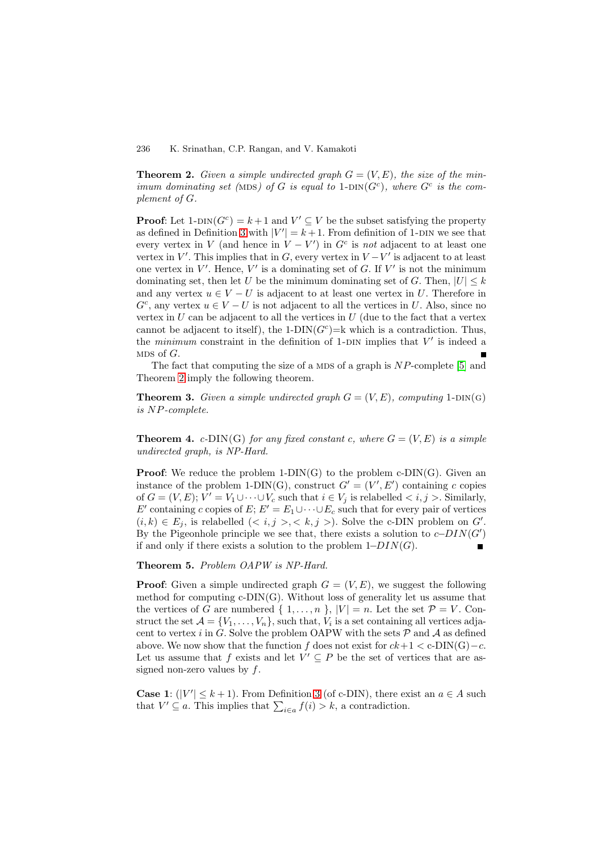<span id="page-4-0"></span>**Theorem 2.** Given a simple undirected graph  $G = (V, E)$ , the size of the minimum dominating set (MDS) of G is equal to 1-DIN( $G<sup>c</sup>$ ), where  $G<sup>c</sup>$  is the complement of G.

**Proof:** Let  $1$ -DIN( $G^c$ ) =  $k+1$  and  $V' \subseteq V$  be the subset satisfying the property as defined in Definition [3](#page-3-0) with  $|V'| = k + 1$ . From definition of 1-DIN we see that every vertex in V (and hence in  $V - V'$ ) in  $G<sup>c</sup>$  is not adjacent to at least one vertex in  $V'$ . This implies that in G, every vertex in  $V - V'$  is adjacent to at least one vertex in  $V'$ . Hence,  $V'$  is a dominating set of G. If  $V'$  is not the minimum dominating set, then let U be the minimum dominating set of G. Then,  $|U| \leq k$ and any vertex  $u \in V - U$  is adjacent to at least one vertex in U. Therefore in  $G<sup>c</sup>$ , any vertex  $u \in V-U$  is not adjacent to all the vertices in U. Also, since no vertex in  $U$  can be adjacent to all the vertices in  $U$  (due to the fact that a vertex cannot be adjacent to itself), the 1-DIN( $G<sup>c</sup>$ )=k which is a contradiction. Thus, the *minimum* constraint in the definition of 1-DIN implies that  $V'$  is indeed a  $MDS$  of  $G$ .

The fact that computing the size of a MDS of a graph is  $NP$ -complete [\[5\]](#page-9-0) and Theorem 2 imply the following theorem.

**Theorem 3.** Given a simple undirected graph  $G = (V, E)$ , computing 1-DIN(G) is NP-complete.

**Theorem 4.** c-DIN(G) for any fixed constant c, where  $G = (V, E)$  is a simple undirected graph, is NP-Hard.

**Proof:** We reduce the problem 1-DIN(G) to the problem c-DIN(G). Given an instance of the problem 1-DIN(G), construct  $G' = (V', E')$  containing c copies of  $G = (V, E); V' = V_1 \cup \cdots \cup V_c$  such that  $i \in V_j$  is relabelled  $\langle i, j \rangle$ . Similarly, E' containing c copies of  $E; E' = E_1 \cup \cdots \cup E_c$  such that for every pair of vertices  $(i, k) \in E_j$ , is relabelled  $(*i*, *j*>, *k*, *j*)$ . Solve the c-DIN problem on G'. By the Pigeonhole principle we see that, there exists a solution to  $c$ - $DIN(G')$ if and only if there exists a solution to the problem  $1-DIN(G)$ .  $\blacksquare$ 

**Theorem 5.** Problem OAPW is NP-Hard.

**Proof**: Given a simple undirected graph  $G = (V, E)$ , we suggest the following method for computing  $c$ -DIN(G). Without loss of generality let us assume that the vertices of G are numbered  $\{1,\ldots,n\}$ ,  $|V|=n$ . Let the set  $\mathcal{P}=V$ . Construct the set  $\mathcal{A} = \{V_1, \ldots, V_n\}$ , such that,  $V_i$  is a set containing all vertices adjacent to vertex i in G. Solve the problem OAPW with the sets  $P$  and  $\mathcal A$  as defined above. We now show that the function f does not exist for  $ck+1 < c$ -DIN(G)–c. Let us assume that f exists and let  $V' \subseteq P$  be the set of vertices that are assigned non-zero values by  $f$ .

**Case 1**: ( $|V'| \leq k+1$ ). From Definition [3](#page-3-0) (of c-DIN), there exist an  $a \in A$  such that  $V' \subseteq a$ . This implies that  $\sum_{i \in a} f(i) > k$ , a contradiction.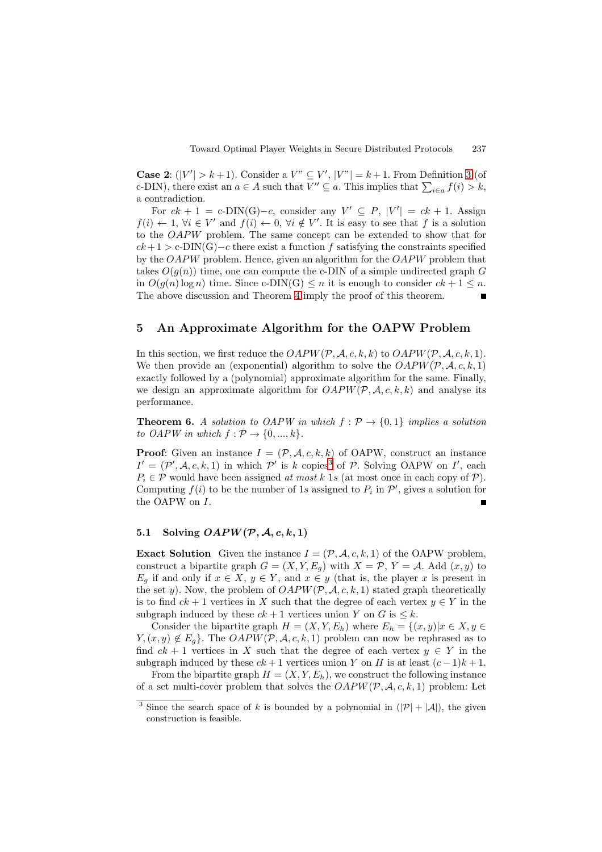<span id="page-5-0"></span>**Case 2**:  $(|V'| > k+1)$ . Consider a  $V'' \subseteq V'$ ,  $|V''| = k+1$ . From Definition [3](#page-3-0) (of c-DIN), there exist an  $a \in A$  such that  $V'' \subseteq a$ . This implies that  $\sum_{i \in a} f(i) > k$ , a contradiction.

For  $ck + 1 = c\text{-DIN}(G) - c$ , consider any  $V' \subseteq P$ ,  $|V'| = ck + 1$ . Assign  $f(i) \leftarrow 1, \forall i \in V'$  and  $f(i) \leftarrow 0, \forall i \notin V'$ . It is easy to see that f is a solution to the OAPW problem. The same concept can be extended to show that for  $ck + 1 > c$ -DIN(G)−c there exist a function f satisfying the constraints specified by the  $OAPW$  problem. Hence, given an algorithm for the  $OAPW$  problem that takes  $O(g(n))$  time, one can compute the c-DIN of a simple undirected graph G in  $O(g(n) \log n)$  time. Since c-DIN(G)  $\leq n$  it is enough to consider  $ck + 1 \leq n$ . The above discussion and Theorem [4](#page-4-0) imply the proof of this theorem. п

## **5 An Approximate Algorithm for the OAPW Problem**

In this section, we first reduce the  $OAPW(\mathcal{P}, \mathcal{A}, c, k, k)$  to  $OAPW(\mathcal{P}, \mathcal{A}, c, k, 1)$ . We then provide an (exponential) algorithm to solve the  $OAPW(\mathcal{P}, \mathcal{A}, c, k, 1)$ exactly followed by a (polynomial) approximate algorithm for the same. Finally, we design an approximate algorithm for  $OAPW(\mathcal{P}, \mathcal{A}, c, k, k)$  and analyse its performance.

**Theorem 6.** A solution to OAPW in which  $f : \mathcal{P} \to \{0, 1\}$  implies a solution to OAPW in which  $f: \mathcal{P} \to \{0, ..., k\}.$ 

**Proof:** Given an instance  $I = (\mathcal{P}, \mathcal{A}, c, k, k)$  of OAPW, construct an instance  $I' = (\mathcal{P}', \mathcal{A}, c, k, 1)$  in which  $\mathcal{P}'$  is k copies<sup>3</sup> of  $\mathcal{P}$ . Solving OAPW on I', each  $P_i \in \mathcal{P}$  would have been assigned at most k 1s (at most once in each copy of  $\mathcal{P}$ ). Computing  $f(i)$  to be the number of 1s assigned to  $P_i$  in  $\mathcal{P}'$ , gives a solution for the OAPW on  $I$ .

# 5.1 Solving  $OAPW(P, \mathcal{A}, c, k, 1)$

**Exact Solution** Given the instance  $I = (\mathcal{P}, \mathcal{A}, c, k, 1)$  of the OAPW problem, construct a bipartite graph  $G = (X, Y, E_q)$  with  $X = \mathcal{P}, Y = \mathcal{A}$ . Add  $(x, y)$  to  $E_g$  if and only if  $x \in X$ ,  $y \in Y$ , and  $x \in y$  (that is, the player x is present in the set y). Now, the problem of  $OAPW(\mathcal{P}, \mathcal{A}, c, k, 1)$  stated graph theoretically is to find  $ck + 1$  vertices in X such that the degree of each vertex  $y \in Y$  in the subgraph induced by these  $ck + 1$  vertices union Y on G is  $\leq k$ .

Consider the bipartite graph  $H = (X, Y, E_h)$  where  $E_h = \{(x, y) | x \in X, y \in$  $Y,(x,y) \notin E_g$ . The  $OAPW(\mathcal{P}, \mathcal{A}, c, k, 1)$  problem can now be rephrased as to find  $ck + 1$  vertices in X such that the degree of each vertex  $y \in Y$  in the subgraph induced by these  $ck + 1$  vertices union Y on H is at least  $(c - 1)k + 1$ .

From the bipartite graph  $H = (X, Y, E_h)$ , we construct the following instance of a set multi-cover problem that solves the  $OAPW(\mathcal{P}, \mathcal{A}, c, k, 1)$  problem: Let

<sup>&</sup>lt;sup>3</sup> Since the search space of k is bounded by a polynomial in  $(|\mathcal{P}| + |\mathcal{A}|)$ , the given construction is feasible.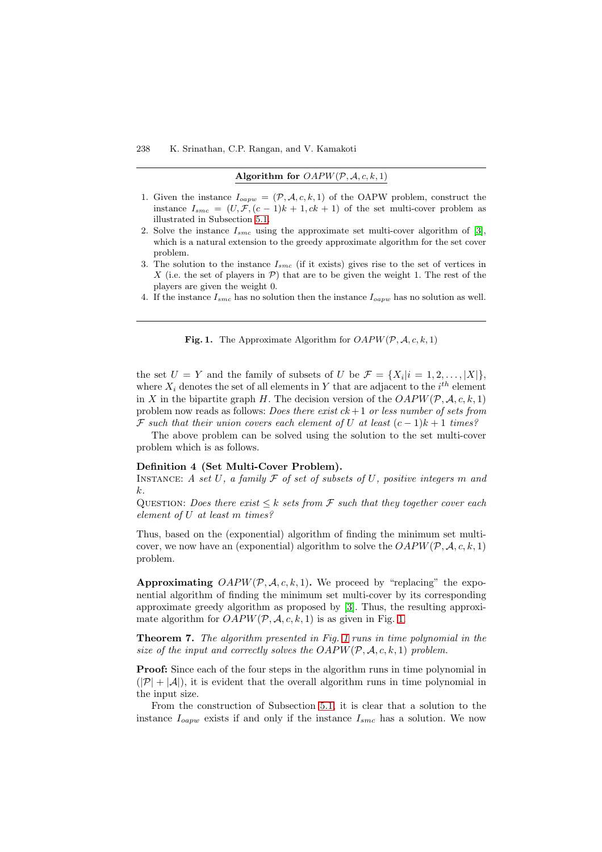#### **Algorithm for**  $OAPW(\mathcal{P}, \mathcal{A}, c, k, 1)$

- <span id="page-6-0"></span>1. Given the instance  $I_{oanw} = (\mathcal{P}, \mathcal{A}, c, k, 1)$  of the OAPW problem, construct the instance  $I_{smc} = (U, \mathcal{F}, (c-1)k+1, ck+1)$  of the set multi-cover problem as illustrated in Subsection [5.1.](#page-5-0)
- 2. Solve the instance  $I_{smc}$  using the approximate set multi-cover algorithm of [\[3\]](#page-9-0), which is a natural extension to the greedy approximate algorithm for the set cover problem.
- 3. The solution to the instance  $I_{smc}$  (if it exists) gives rise to the set of vertices in X (i.e. the set of players in  $\mathcal{P}$ ) that are to be given the weight 1. The rest of the players are given the weight 0.
- 4. If the instance  $I_{smc}$  has no solution then the instance  $I_{oapw}$  has no solution as well.

**Fig. 1.** The Approximate Algorithm for  $OAPW(\mathcal{P}, \mathcal{A}, c, k, 1)$ 

the set  $U = Y$  and the family of subsets of U be  $\mathcal{F} = \{X_i | i = 1, 2, \ldots, |X|\},\$ where  $X_i$  denotes the set of all elements in Y that are adjacent to the  $i^{th}$  element in X in the bipartite graph H. The decision version of the  $OAPW(\mathcal{P}, \mathcal{A}, c, k, 1)$ problem now reads as follows: *Does there exist*  $ck + 1$  or less number of sets from F such that their union covers each element of U at least  $(c-1)k+1$  times?

The above problem can be solved using the solution to the set multi-cover problem which is as follows.

#### **Definition 4 (Set Multi-Cover Problem).**

INSTANCE: A set U, a family  $\mathcal F$  of set of subsets of U, positive integers m and k.

QUESTION: Does there exist  $\leq k$  sets from F such that they together cover each element of U at least m times?

Thus, based on the (exponential) algorithm of finding the minimum set multicover, we now have an (exponential) algorithm to solve the  $OAPW(\mathcal{P}, \mathcal{A}, c, k, 1)$ problem.

**Approximating**  $OAPW(\mathcal{P}, \mathcal{A}, c, k, 1)$ . We proceed by "replacing" the exponential algorithm of finding the minimum set multi-cover by its corresponding approximate greedy algorithm as proposed by [\[3\]](#page-9-0). Thus, the resulting approximate algorithm for  $OAPW(\mathcal{P}, \mathcal{A}, c, k, 1)$  is as given in Fig. 1.

**Theorem 7.** The algorithm presented in Fig. 1 runs in time polynomial in the size of the input and correctly solves the  $OAPW(\mathcal{P}, \mathcal{A}, c, k, 1)$  problem.

**Proof:** Since each of the four steps in the algorithm runs in time polynomial in  $(|\mathcal{P}| + |\mathcal{A}|)$ , it is evident that the overall algorithm runs in time polynomial in the input size.

From the construction of Subsection [5.1,](#page-5-0) it is clear that a solution to the instance  $I_{oapw}$  exists if and only if the instance  $I_{smc}$  has a solution. We now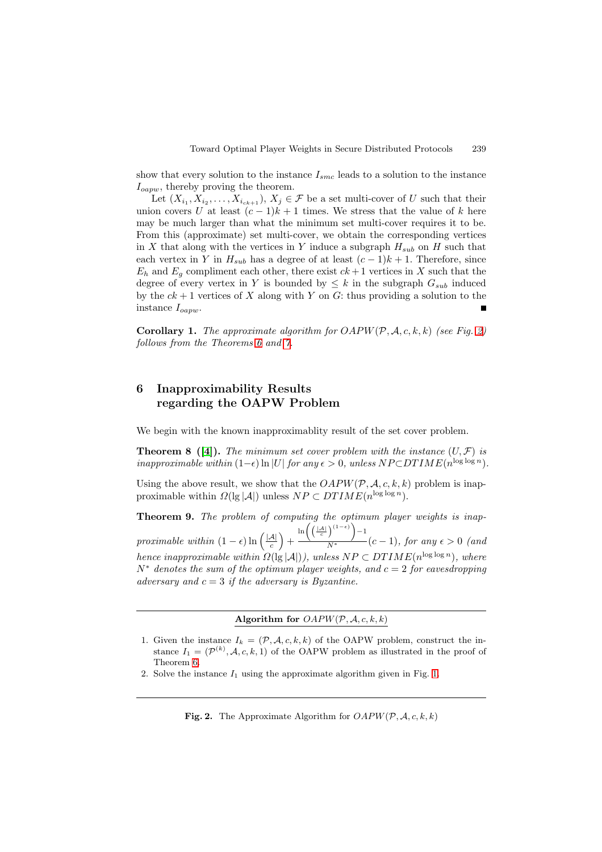<span id="page-7-0"></span>show that every solution to the instance  $I_{smc}$  leads to a solution to the instance  $I_{oanw}$ , thereby proving the theorem.

Let  $(X_{i_1}, X_{i_2}, \ldots, X_{i_{ck+1}}), X_j \in \mathcal{F}$  be a set multi-cover of U such that their union covers U at least  $(c-1)k+1$  times. We stress that the value of k here may be much larger than what the minimum set multi-cover requires it to be. From this (approximate) set multi-cover, we obtain the corresponding vertices in X that along with the vertices in Y induce a subgraph  $H_{sub}$  on H such that each vertex in Y in  $H_{sub}$  has a degree of at least  $(c-1)k+1$ . Therefore, since  $E_h$  and  $E_g$  compliment each other, there exist  $ck+1$  vertices in X such that the degree of every vertex in Y is bounded by  $\leq k$  in the subgraph  $G_{sub}$  induced by the  $ck + 1$  vertices of X along with Y on G: thus providing a solution to the instance  $I_{oapw}$ .

**Corollary 1.** The approximate algorithm for  $OAPW(\mathcal{P}, \mathcal{A}, c, k, k)$  (see Fig. 2) follows from the Theorems [6](#page-5-0) and [7.](#page-6-0)

# **6 Inapproximability Results regarding the OAPW Problem**

We begin with the known inapproximablity result of the set cover problem.

**Theorem 8 ([\[4\]](#page-9-0)).** The minimum set cover problem with the instance  $(U, \mathcal{F})$  is inapproximable within  $(1-\epsilon)$  ln |U| for any  $\epsilon > 0$ , unless  $NP \subset DTIME(n^{\log \log n})$ .

Using the above result, we show that the  $OAPW(\mathcal{P}, \mathcal{A}, c, k, k)$  problem is inapproximable within  $\Omega(\lg |\mathcal{A}|)$  unless  $NP \subset DTIME(n^{\log \log n})$ .

**Theorem 9.** The problem of computing the optimum player weights is inapproximable within  $(1 - \epsilon) \ln \left( \frac{|\mathcal{A}|}{c} \right) +$  $\ln\left(\left(\frac{|\mathcal{A}|}{c}\right)^{(1-\epsilon)}\right)-1$  $\frac{y}{N^*}$  (c-1), for any  $\epsilon > 0$  (and hence inapproximable within  $\Omega(\lg |\mathcal{A}|))$ , unless  $NP \subset DTIME(n^{\log \log n})$ , where  $N^*$  denotes the sum of the optimum player weights, and  $c = 2$  for eavesdropping adversary and  $c = 3$  if the adversary is Byzantine.

#### **Algorithm for**  $OAPW(\mathcal{P}, \mathcal{A}, c, k, k)$

- 1. Given the instance  $I_k = (\mathcal{P}, \mathcal{A}, c, k, k)$  of the OAPW problem, construct the instance  $I_1 = (\mathcal{P}^{(k)}, \mathcal{A}, c, k, 1)$  of the OAPW problem as illustrated in the proof of Theorem [6.](#page-5-0)
- 2. Solve the instance  $I_1$  using the approximate algorithm given in Fig. [1.](#page-6-0)

**Fig. 2.** The Approximate Algorithm for  $OAPW(\mathcal{P}, \mathcal{A}, c, k, k)$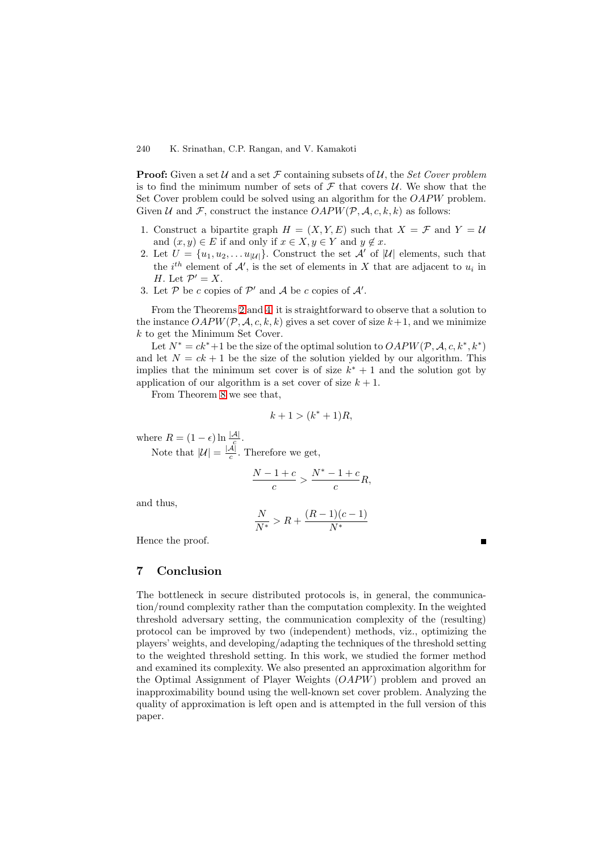**Proof:** Given a set  $\mathcal U$  and a set  $\mathcal F$  containing subsets of  $\mathcal U$ , the *Set Cover problem* is to find the minimum number of sets of  $\mathcal F$  that covers  $\mathcal U$ . We show that the Set Cover problem could be solved using an algorithm for the *OAPW* problem. Given U and F, construct the instance  $OAPW(\mathcal{P}, \mathcal{A}, c, k, k)$  as follows:

- 1. Construct a bipartite graph  $H = (X, Y, E)$  such that  $X = \mathcal{F}$  and  $Y = \mathcal{U}$ and  $(x, y) \in E$  if and only if  $x \in X, y \in Y$  and  $y \notin x$ .
- 2. Let  $U = \{u_1, u_2, \dots u_{|\mathcal{U}|}\}\)$ . Construct the set  $\mathcal{A}'$  of  $|\mathcal{U}|$  elements, such that the  $i^{th}$  element of  $\mathcal{A}'$ , is the set of elements in X that are adjacent to  $u_i$  in H. Let  $\mathcal{P}'=X$ .
- 3. Let P be c copies of  $\mathcal{P}'$  and A be c copies of  $\mathcal{A}'$ .

From the Theorems [2](#page-4-0) and [4,](#page-4-0) it is straightforward to observe that a solution to the instance  $OAPW(\mathcal{P}, \mathcal{A}, c, k, k)$  gives a set cover of size  $k+1$ , and we minimize k to get the Minimum Set Cover.

Let  $N^* = ck^*+1$  be the size of the optimal solution to  $OAPW(\mathcal{P}, \mathcal{A}, c, k^*, k^*)$ and let  $N = ck + 1$  be the size of the solution yielded by our algorithm. This implies that the minimum set cover is of size  $k^* + 1$  and the solution got by application of our algorithm is a set cover of size  $k + 1$ .

From Theorem [8](#page-7-0) we see that,

$$
k+1 > (k^*+1)R
$$

where  $R = (1 - \epsilon) \ln \frac{|\mathcal{A}|}{c}$ .

Note that  $|\mathcal{U}| = \frac{|\mathcal{A}|}{c}$ . Therefore we get,

$$
\frac{N-1+c}{c} > \frac{N^*-1+c}{c}R,
$$

and thus,

$$
\frac{N}{N^*} > R + \frac{(R-1)(c-1)}{N^*}
$$

 $\blacksquare$ 

Hence the proof.

## **7 Conclusion**

The bottleneck in secure distributed protocols is, in general, the communication/round complexity rather than the computation complexity. In the weighted threshold adversary setting, the communication complexity of the (resulting) protocol can be improved by two (independent) methods, viz., optimizing the players' weights, and developing/adapting the techniques of the threshold setting to the weighted threshold setting. In this work, we studied the former method and examined its complexity. We also presented an approximation algorithm for the Optimal Assignment of Player Weights  $(OAPW)$  problem and proved an inapproximability bound using the well-known set cover problem. Analyzing the quality of approximation is left open and is attempted in the full version of this paper.